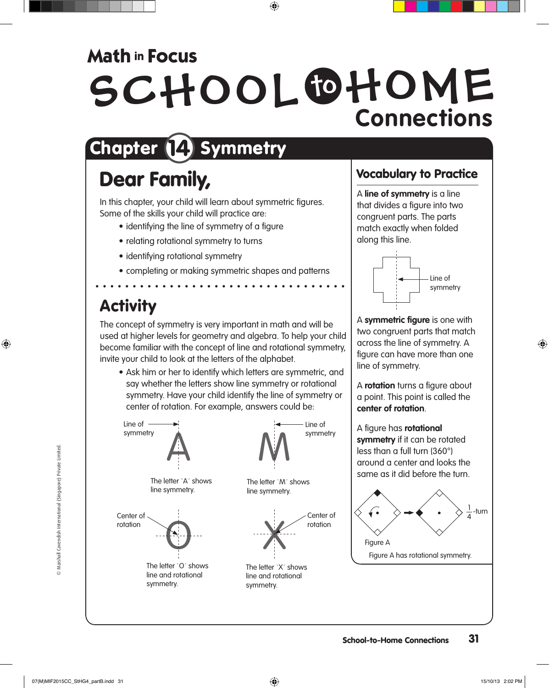### **Math in Focus**

# SCHOOL OHOME **Connections**

## Chapter (14) Symmetry

### Dear Family,

In this chapter, your child will learn about symmetric figures. Some of the skills your child will practice are:

- identifying the line of symmetry of a figure
- relating rotational symmetry to turns
- identifying rotational symmetry
- completing or making symmetric shapes and patterns

### **Activity**

The concept of symmetry is very important in math and will be used at higher levels for geometry and algebra. To help your child become familiar with the concept of line and rotational symmetry, invite your child to look at the letters of the alphabet.

• Ask him or her to identify which letters are symmetric, and say whether the letters show line symmetry or rotational symmetry. Have your child identify the line of symmetry or center of rotation. For example, answers could be:



#### Vocabulary to Practice

A **line of symmetry** is a line that divides a figure into two congruent parts. The parts match exactly when folded along this line.



A **symmetric figure** is one with two congruent parts that match across the line of symmetry. A figure can have more than one line of symmetry.

A **rotation** turns a figure about a point. This point is called the **center of rotation**.

A figure has **rotational symmetry** if it can be rotated less than a full turn (360°) around a center and looks the same as it did before the turn.